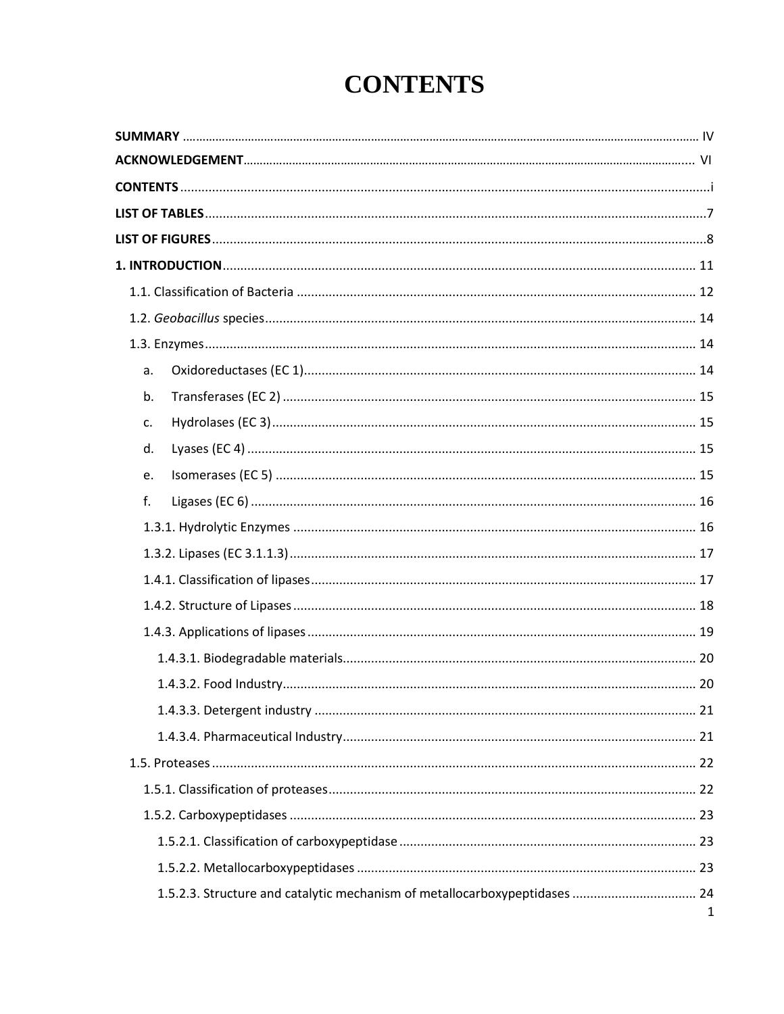## **CONTENTS**

| a. |   |
|----|---|
| b. |   |
| c. |   |
| d. |   |
| e. |   |
| f. |   |
|    |   |
|    |   |
|    |   |
|    |   |
|    |   |
|    |   |
|    |   |
|    |   |
|    |   |
|    |   |
|    |   |
|    |   |
|    |   |
|    |   |
|    |   |
|    | 1 |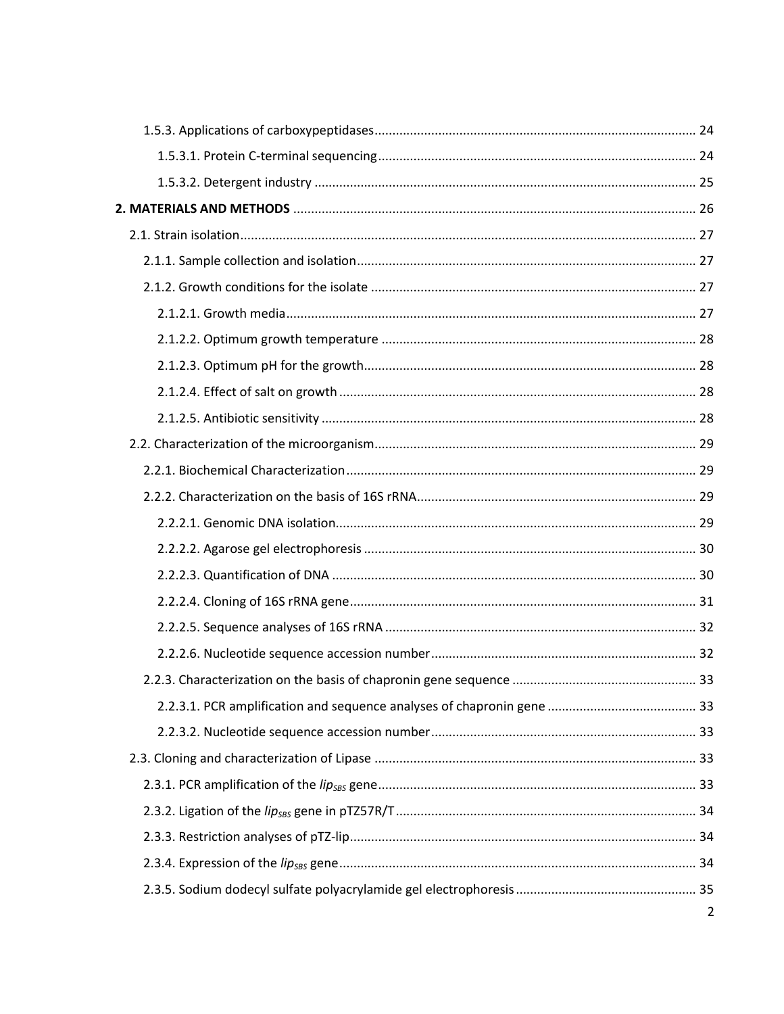| $\overline{2}$ |
|----------------|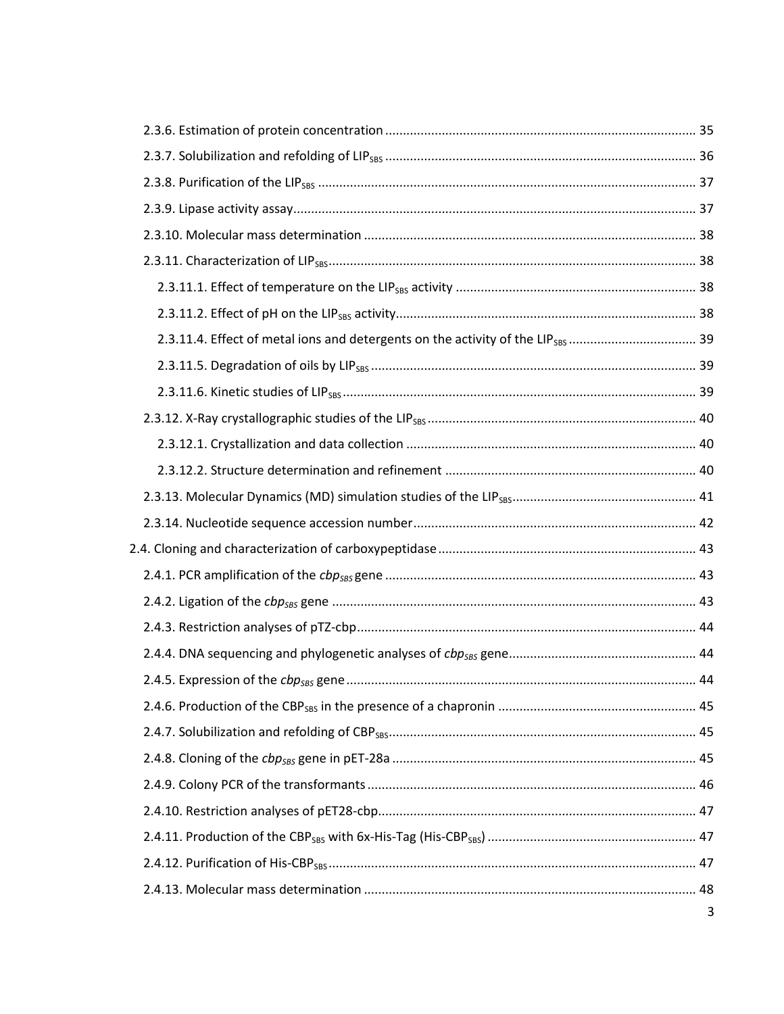|  | 3 |
|--|---|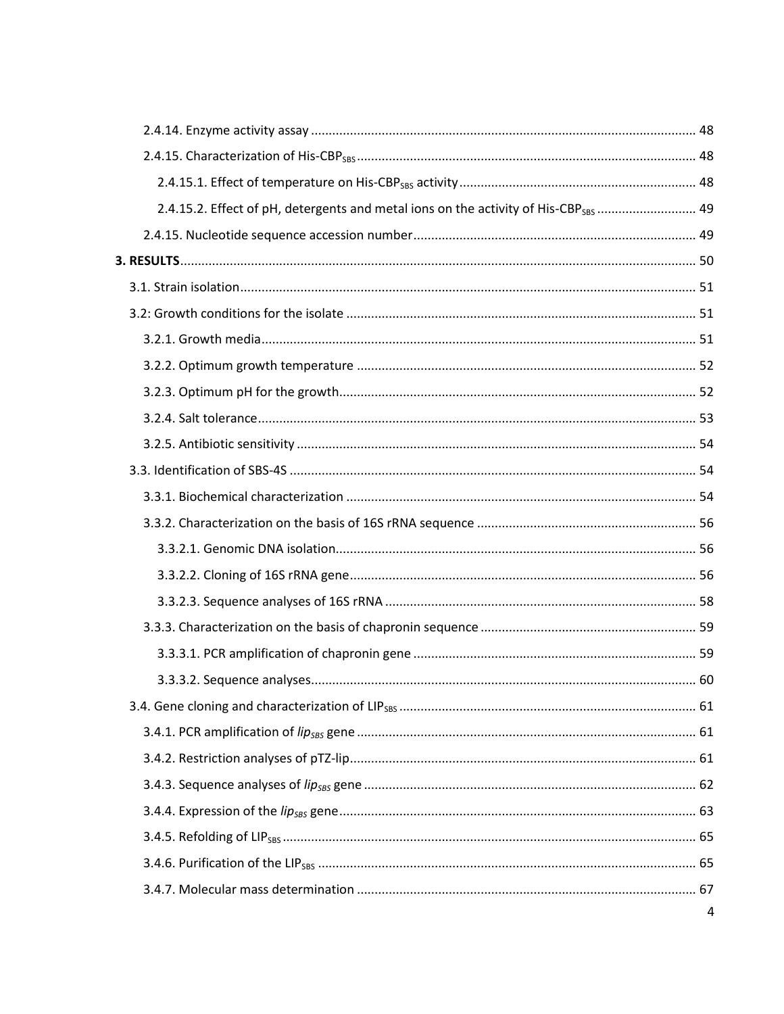| 2.4.15.2. Effect of pH, detergents and metal ions on the activity of His-CBP <sub>SBS</sub> 49 |   |
|------------------------------------------------------------------------------------------------|---|
|                                                                                                |   |
|                                                                                                |   |
|                                                                                                |   |
|                                                                                                |   |
|                                                                                                |   |
|                                                                                                |   |
|                                                                                                |   |
|                                                                                                |   |
|                                                                                                |   |
|                                                                                                |   |
|                                                                                                |   |
|                                                                                                |   |
|                                                                                                |   |
|                                                                                                |   |
|                                                                                                |   |
|                                                                                                |   |
|                                                                                                |   |
|                                                                                                |   |
|                                                                                                |   |
|                                                                                                |   |
|                                                                                                |   |
|                                                                                                |   |
|                                                                                                |   |
|                                                                                                |   |
|                                                                                                |   |
|                                                                                                |   |
|                                                                                                | 4 |